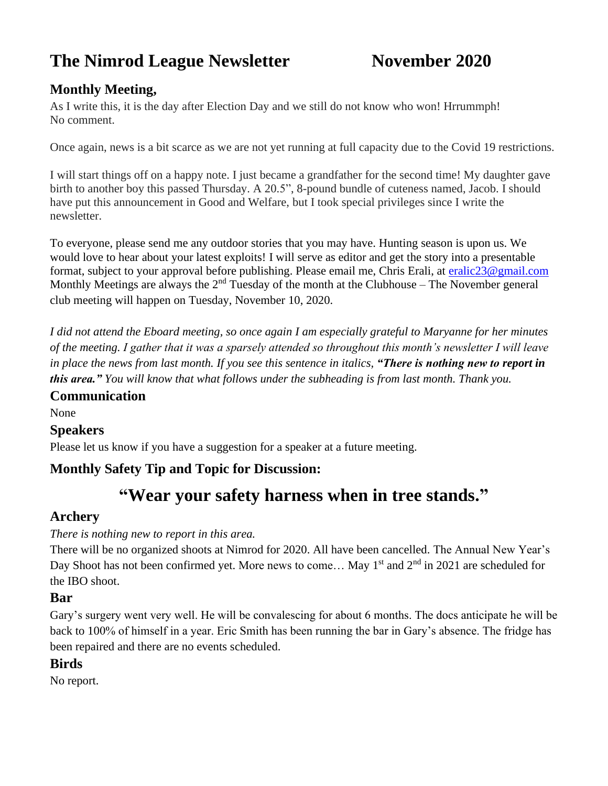# **The Nimrod League Newsletter November 2020**

# **Monthly Meeting,**

As I write this, it is the day after Election Day and we still do not know who won! Hrrummph! No comment.

Once again, news is a bit scarce as we are not yet running at full capacity due to the Covid 19 restrictions.

I will start things off on a happy note. I just became a grandfather for the second time! My daughter gave birth to another boy this passed Thursday. A 20.5", 8-pound bundle of cuteness named, Jacob. I should have put this announcement in Good and Welfare, but I took special privileges since I write the newsletter.

To everyone, please send me any outdoor stories that you may have. Hunting season is upon us. We would love to hear about your latest exploits! I will serve as editor and get the story into a presentable format, subject to your approval before publishing. Please email me, Chris Erali, at [eralic23@gmail.com](mailto:eralic23@gmail.com) Monthly Meetings are always the  $2<sup>nd</sup>$  Tuesday of the month at the Clubhouse – The November general club meeting will happen on Tuesday, November 10, 2020.

*I did not attend the Eboard meeting, so once again I am especially grateful to Maryanne for her minutes of the meeting. I gather that it was a sparsely attended so throughout this month's newsletter I will leave in place the news from last month. If you see this sentence in italics, "There is nothing new to report in this area." You will know that what follows under the subheading is from last month. Thank you.*

#### **Communication**

None

#### **Speakers**

Please let us know if you have a suggestion for a speaker at a future meeting.

## **Monthly Safety Tip and Topic for Discussion:**

# **"Wear your safety harness when in tree stands."**

#### **Archery**

#### *There is nothing new to report in this area.*

There will be no organized shoots at Nimrod for 2020. All have been cancelled. The Annual New Year's Day Shoot has not been confirmed yet. More news to come... May 1<sup>st</sup> and 2<sup>nd</sup> in 2021 are scheduled for the IBO shoot.

#### **Bar**

Gary's surgery went very well. He will be convalescing for about 6 months. The docs anticipate he will be back to 100% of himself in a year. Eric Smith has been running the bar in Gary's absence. The fridge has been repaired and there are no events scheduled.

#### **Birds**

No report.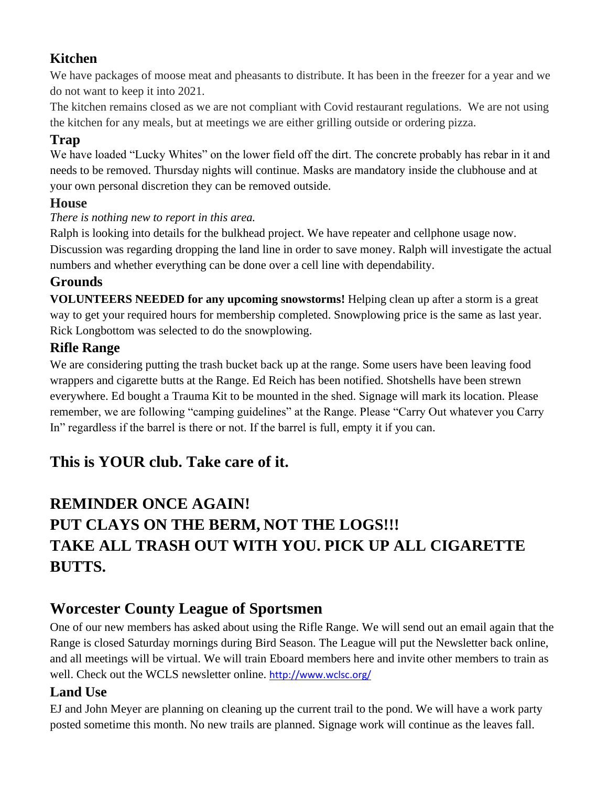# **Kitchen**

We have packages of moose meat and pheasants to distribute. It has been in the freezer for a year and we do not want to keep it into 2021.

The kitchen remains closed as we are not compliant with Covid restaurant regulations. We are not using the kitchen for any meals, but at meetings we are either grilling outside or ordering pizza.

# **Trap**

We have loaded "Lucky Whites" on the lower field off the dirt. The concrete probably has rebar in it and needs to be removed. Thursday nights will continue. Masks are mandatory inside the clubhouse and at your own personal discretion they can be removed outside.

## **House**

#### *There is nothing new to report in this area.*

Ralph is looking into details for the bulkhead project. We have repeater and cellphone usage now. Discussion was regarding dropping the land line in order to save money. Ralph will investigate the actual numbers and whether everything can be done over a cell line with dependability.

## **Grounds**

**VOLUNTEERS NEEDED for any upcoming snowstorms!** Helping clean up after a storm is a great way to get your required hours for membership completed. Snowplowing price is the same as last year. Rick Longbottom was selected to do the snowplowing.

## **Rifle Range**

We are considering putting the trash bucket back up at the range. Some users have been leaving food wrappers and cigarette butts at the Range. Ed Reich has been notified. Shotshells have been strewn everywhere. Ed bought a Trauma Kit to be mounted in the shed. Signage will mark its location. Please remember, we are following "camping guidelines" at the Range. Please "Carry Out whatever you Carry In" regardless if the barrel is there or not. If the barrel is full, empty it if you can.

# **This is YOUR club. Take care of it.**

# **REMINDER ONCE AGAIN! PUT CLAYS ON THE BERM, NOT THE LOGS!!! TAKE ALL TRASH OUT WITH YOU. PICK UP ALL CIGARETTE BUTTS.**

# **Worcester County League of Sportsmen**

One of our new members has asked about using the Rifle Range. We will send out an email again that the Range is closed Saturday mornings during Bird Season. The League will put the Newsletter back online, and all meetings will be virtual. We will train Eboard members here and invite other members to train as well. Check out the WCLS newsletter online. <http://www.wclsc.org/>

## **Land Use**

EJ and John Meyer are planning on cleaning up the current trail to the pond. We will have a work party posted sometime this month. No new trails are planned. Signage work will continue as the leaves fall.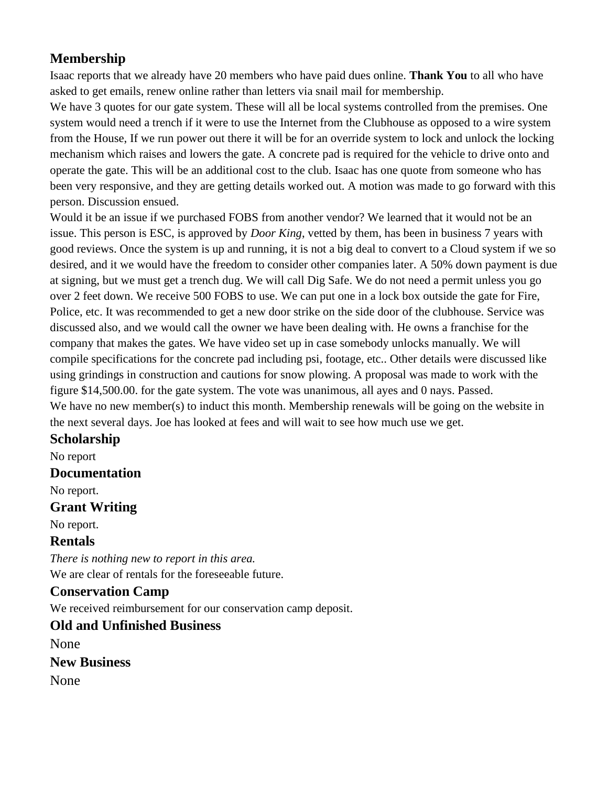# **Membership**

Isaac reports that we already have 20 members who have paid dues online. **Thank You** to all who have asked to get emails, renew online rather than letters via snail mail for membership.

We have 3 quotes for our gate system. These will all be local systems controlled from the premises. One system would need a trench if it were to use the Internet from the Clubhouse as opposed to a wire system from the House, If we run power out there it will be for an override system to lock and unlock the locking mechanism which raises and lowers the gate. A concrete pad is required for the vehicle to drive onto and operate the gate. This will be an additional cost to the club. Isaac has one quote from someone who has been very responsive, and they are getting details worked out. A motion was made to go forward with this person. Discussion ensued.

Would it be an issue if we purchased FOBS from another vendor? We learned that it would not be an issue. This person is ESC, is approved by *Door King*, vetted by them, has been in business 7 years with good reviews. Once the system is up and running, it is not a big deal to convert to a Cloud system if we so desired, and it we would have the freedom to consider other companies later. A 50% down payment is due at signing, but we must get a trench dug. We will call Dig Safe. We do not need a permit unless you go over 2 feet down. We receive 500 FOBS to use. We can put one in a lock box outside the gate for Fire, Police, etc. It was recommended to get a new door strike on the side door of the clubhouse. Service was discussed also, and we would call the owner we have been dealing with. He owns a franchise for the company that makes the gates. We have video set up in case somebody unlocks manually. We will compile specifications for the concrete pad including psi, footage, etc.. Other details were discussed like using grindings in construction and cautions for snow plowing. A proposal was made to work with the figure \$14,500.00. for the gate system. The vote was unanimous, all ayes and 0 nays. Passed. We have no new member(s) to induct this month. Membership renewals will be going on the website in the next several days. Joe has looked at fees and will wait to see how much use we get.

#### **Scholarship**

No report

#### **Documentation**

No report.

#### **Grant Writing**

No report.

#### **Rentals**

*There is nothing new to report in this area.* We are clear of rentals for the foreseeable future.

## **Conservation Camp**

We received reimbursement for our conservation camp deposit.

#### **Old and Unfinished Business**

None

**New Business**

None